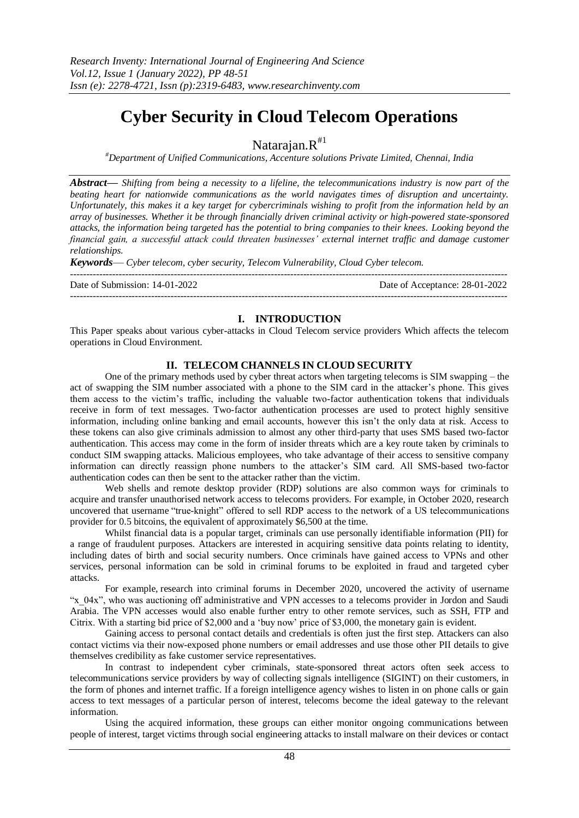# **Cyber Security in Cloud Telecom Operations**

Natarajan. $R^{H1}$ 

*#Department of Unified Communications, Accenture solutions Private Limited, Chennai, India*

*Abstract***—** *Shifting from being a necessity to a lifeline, the telecommunications industry is now part of the beating heart for nationwide communications as the world navigates times of disruption and uncertainty. Unfortunately, this makes it a key target for cybercriminals wishing to profit from the information held by an array of businesses. Whether it be through financially driven criminal activity or high-powered state-sponsored attacks, the information being targeted has the potential to bring companies to their knees. Looking beyond the financial gain, a successful attack could threaten businesses' external internet traffic and damage customer relationships.*

*Keywords*— *Cyber telecom, cyber security, Telecom Vulnerability, Cloud Cyber telecom.*

--------------------------------------------------------------------------------------------------------------------------------------- Date of Acceptance: 28-01-2022  $-1-\frac{1}{2}$ 

#### **I. INTRODUCTION**

This Paper speaks about various cyber-attacks in Cloud Telecom service providers Which affects the telecom operations in Cloud Environment.

## **II. TELECOM CHANNELS IN CLOUD SECURITY**

One of the primary methods used by cyber threat actors when targeting telecoms is SIM swapping – the act of swapping the SIM number associated with a phone to the SIM card in the attacker's phone. This gives them access to the victim's traffic, including the valuable two-factor authentication tokens that individuals receive in form of text messages. Two-factor authentication processes are used to protect highly sensitive information, including online banking and email accounts, however this isn't the only data at risk. Access to these tokens can also give criminals admission to almost any other third-party that uses SMS based two-factor authentication. This access may come in the form of insider threats which are a key route taken by criminals to conduct SIM swapping attacks. Malicious employees, who take advantage of their access to sensitive company information can directly reassign phone numbers to the attacker's SIM card. All SMS-based two-factor authentication codes can then be sent to the attacker rather than the victim.

Web shells and remote desktop provider (RDP) solutions are also common ways for criminals to acquire and transfer unauthorised network access to telecoms providers. For example, [in October 2020, research](https://intsights.com/resources/the-cyber-threat-landscape-of-the-telecommunications-industry)  [uncovered that username](https://intsights.com/resources/the-cyber-threat-landscape-of-the-telecommunications-industry) "true-knight" offered to sell RDP access to the network of a US telecommunications provider for 0.5 bitcoins, the equivalent of approximately \$6,500 at the time.

Whilst financial data is a popular target, criminals can use personally identifiable information (PII) for a range of fraudulent purposes. Attackers are interested in acquiring sensitive data points relating to identity, including dates of birth and social security numbers. Once criminals have gained access to VPNs and other services, personal information can be sold in criminal forums to be exploited in fraud and targeted cyber attacks.

For example, [research into criminal forums in December 2020,](https://intsights.com/resources/the-cyber-threat-landscape-of-the-telecommunications-industry) uncovered the activity of username "x\_04x", who was auctioning off administrative and VPN accesses to a telecoms provider in Jordon and Saudi Arabia. The VPN accesses would also enable further entry to other remote services, such as SSH, FTP and Citrix. With a starting bid price of \$2,000 and a 'buy now' price of \$3,000, the monetary gain is evident.

Gaining access to personal contact details and credentials is often just the first step. Attackers can also contact victims via their now-exposed phone numbers or email addresses and use those other PII details to give themselves credibility as fake customer service representatives.

In contrast to independent cyber criminals, state-sponsored threat actors often seek access to telecommunications service providers by way of collecting signals intelligence (SIGINT) on their customers, in the form of phones and internet traffic. If a foreign intelligence agency wishes to listen in on phone calls or gain access to text messages of a particular person of interest, telecoms become the ideal gateway to the relevant information.

Using the acquired information, these groups can either monitor ongoing communications between people of interest, target victims through social engineering attacks to install malware on their devices or contact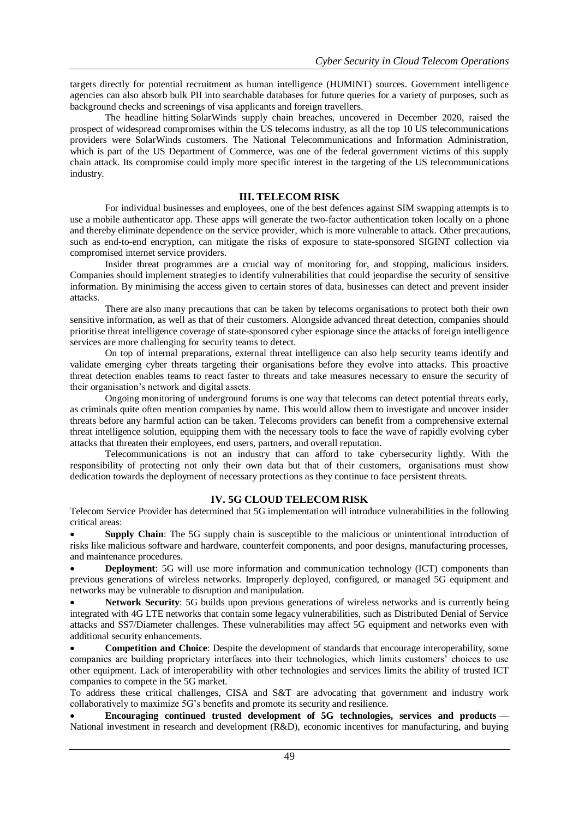targets directly for potential recruitment as human intelligence (HUMINT) sources. Government intelligence agencies can also absorb bulk PII into searchable databases for future queries for a variety of purposes, such as background checks and screenings of visa applicants and foreign travellers.

The headline hitting [SolarWinds supply chain breaches, uncovered in December 2020,](https://www.bbc.co.uk/news/technology-55442732) raised the prospect of widespread compromises within the US telecoms industry, as all the top 10 US telecommunications providers were SolarWinds customers. The National Telecommunications and Information Administration, which is part of the US Department of Commerce, was one of the federal government victims of this supply chain attack. Its compromise could imply more specific interest in the targeting of the US telecommunications industry.

#### **III. TELECOM RISK**

For individual businesses and employees, one of the best defences against SIM swapping attempts is to use a mobile authenticator app. These apps will generate the two-factor authentication token locally on a phone and thereby eliminate dependence on the service provider, which is more vulnerable to attack. Other precautions, such as end-to-end encryption, can mitigate the risks of exposure to state-sponsored SIGINT collection via compromised internet service providers.

Insider threat programmes are a crucial way of monitoring for, and stopping, malicious insiders. Companies should implement strategies to identify vulnerabilities that could jeopardise the security of sensitive information. By minimising the access given to certain stores of data, businesses can detect and prevent insider attacks.

There are also many precautions that can be taken by telecoms organisations to protect both their own sensitive information, as well as that of their customers. Alongside advanced threat detection, companies should prioritise threat intelligence coverage of state-sponsored cyber espionage since the attacks of foreign intelligence services are more challenging for security teams to detect.

On top of internal preparations, external threat intelligence can also help security teams identify and validate emerging cyber threats targeting their organisations before they evolve into attacks. This proactive threat detection enables teams to react faster to threats and take measures necessary to ensure the security of their organisation's network and digital assets.

Ongoing monitoring of underground forums is one way that telecoms can detect potential threats early, as criminals quite often mention companies by name. This would allow them to investigate and uncover insider threats before any harmful action can be taken. Telecoms providers can benefit from a comprehensive external threat intelligence solution, equipping them with the necessary tools to face the wave of rapidly evolving cyber attacks that threaten their employees, end users, partners, and overall reputation.

Telecommunications is not an industry that can afford to take cybersecurity lightly. With the responsibility of protecting not only their own data but that of their customers, organisations must show dedication towards the deployment of necessary protections as they continue to face persistent threats.

# **IV. 5G CLOUD TELECOM RISK**

Telecom Service Provider has determined that 5G implementation will [introduce vulnerabilities](https://www.cisa.gov/publication/overview-risks-introduced-5g-adoption-united-states) in the following critical areas:

 **Supply Chain**: The 5G supply chain is susceptible to the malicious or unintentional introduction of risks like malicious software and hardware, counterfeit components, and poor designs, manufacturing processes, and maintenance procedures.

 **Deployment**: 5G will use more information and communication technology (ICT) components than previous generations of wireless networks. Improperly deployed, configured, or managed 5G equipment and networks may be vulnerable to disruption and manipulation.

 **Network Security**: 5G builds upon previous generations of wireless networks and is currently being integrated with 4G LTE networks that contain some legacy vulnerabilities, such as Distributed Denial of Service attacks and SS7/Diameter challenges. These vulnerabilities may affect 5G equipment and networks even with additional security enhancements.

 **Competition and Choice**: Despite the development of standards that encourage interoperability, some companies are building proprietary interfaces into their technologies, which limits customers' choices to use other equipment. Lack of interoperability with other technologies and services limits the ability of trusted ICT companies to compete in the 5G market.

To address these critical challenges, CISA and S&T are advocating that government and industry work collaboratively to maximize 5G's benefits and promote its security and resilience.

 **Encouraging continued trusted development of 5G technologies, services and products** — National investment in research and development (R&D), economic incentives for manufacturing, and buying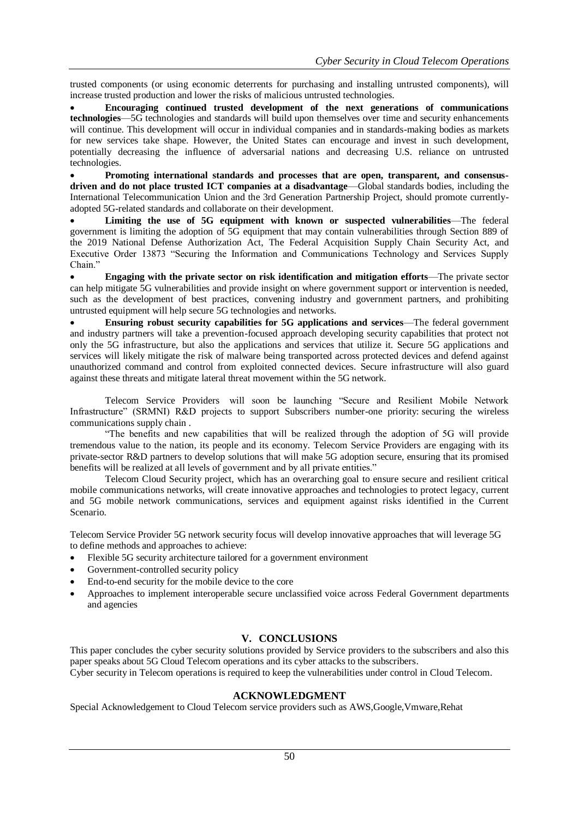trusted components (or using economic deterrents for purchasing and installing untrusted components), will increase trusted production and lower the risks of malicious untrusted technologies.

 **Encouraging continued trusted development of the next generations of communications technologies**—5G technologies and standards will build upon themselves over time and security enhancements will continue. This development will occur in individual companies and in standards-making bodies as markets for new services take shape. However, the United States can encourage and invest in such development, potentially decreasing the influence of adversarial nations and decreasing U.S. reliance on untrusted technologies.

 **Promoting international standards and processes that are open, transparent, and consensusdriven and do not place trusted ICT companies at a disadvantage**—Global standards bodies, including the International Telecommunication Union and the 3rd Generation Partnership Project, should promote currentlyadopted 5G-related standards and collaborate on their development.

 **Limiting the use of 5G equipment with known or suspected vulnerabilities**—The federal government is limiting the adoption of 5G equipment that may contain vulnerabilities through Section 889 of the 2019 National Defense Authorization Act, The Federal Acquisition Supply Chain Security Act, and Executive Order 13873 "Securing the Information and Communications Technology and Services Supply Chain."

 **Engaging with the private sector on risk identification and mitigation efforts**—The private sector can help mitigate 5G vulnerabilities and provide insight on where government support or intervention is needed, such as the development of best practices, convening industry and government partners, and prohibiting untrusted equipment will help secure 5G technologies and networks.

 **Ensuring robust security capabilities for 5G applications and services**—The federal government and industry partners will take a prevention-focused approach developing security capabilities that protect not only the 5G infrastructure, but also the applications and services that utilize it. Secure 5G applications and services will likely mitigate the risk of malware being transported across protected devices and defend against unauthorized command and control from exploited connected devices. Secure infrastructure will also guard against these threats and mitigate lateral threat movement within the 5G network.

Telecom Service Providers will soon be launching "Secure and Resilient Mobile Network Infrastructure" (SRMNI) R&D projects to support Subscribers number-one priority: [securing the wireless](https://www.cisa.gov/publication/strategic-intent)  [communications supply chain](https://www.cisa.gov/publication/strategic-intent) .

"The benefits and new capabilities that will be realized through the adoption of 5G will provide tremendous value to the nation, its people and its economy. Telecom Service Providers are engaging with its private-sector R&D partners to develop solutions that will make 5G adoption secure, ensuring that its promised benefits will be realized at all levels of government and by all private entities."

Telecom Cloud Security project, which has an overarching goal to ensure secure and resilient critical mobile communications networks, will create innovative approaches and technologies to protect legacy, current and 5G mobile network communications, services and equipment against risks identified in the Current Scenario.

Telecom Service Provider 5G network security focus will develop innovative approaches that will leverage 5G to define methods and approaches to achieve:

- Flexible 5G security architecture tailored for a government environment
- Government-controlled security policy
- End-to-end security for the mobile device to the core
- Approaches to implement interoperable secure unclassified voice across Federal Government departments and agencies

## **V. CONCLUSIONS**

This paper concludes the cyber security solutions provided by Service providers to the subscribers and also this paper speaks about 5G Cloud Telecom operations and its cyber attacks to the subscribers. Cyber security in Telecom operations is required to keep the vulnerabilities under control in Cloud Telecom.

# **ACKNOWLEDGMENT**

Special Acknowledgement to Cloud Telecom service providers such as AWS,Google,Vmware,Rehat